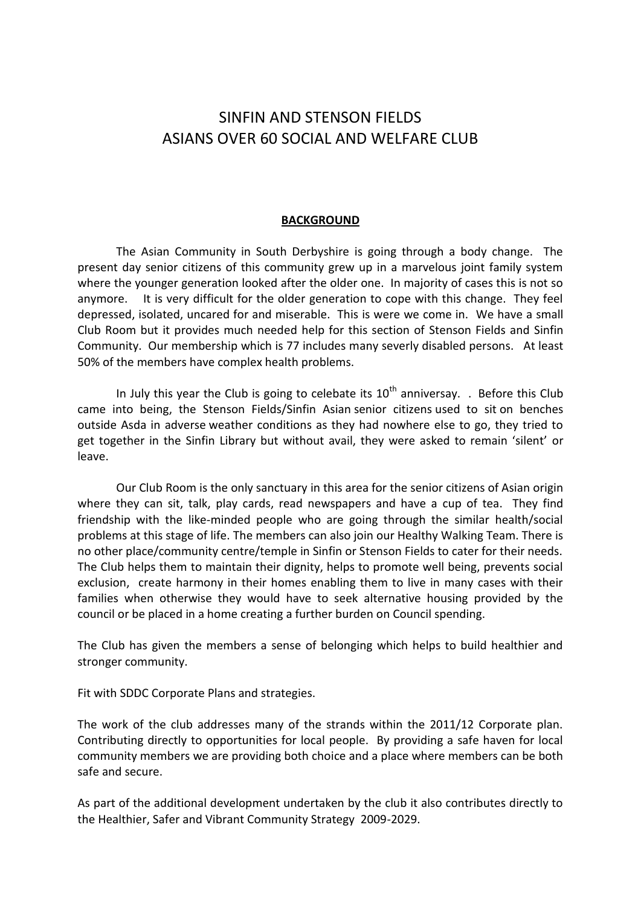## SINFIN AND STENSON FIELDS ASIANS OVER 60 SOCIAL AND WELFARE CLUB

## **BACKGROUND**

The Asian Community in South Derbyshire is going through a body change. The present day senior citizens of this community grew up in a marvelous joint family system where the younger generation looked after the older one. In majority of cases this is not so anymore. It is very difficult for the older generation to cope with this change. They feel depressed, isolated, uncared for and miserable. This is were we come in. We have a small Club Room but it provides much needed help for this section of Stenson Fields and Sinfin Community. Our membership which is 77 includes many severly disabled persons. At least 50% of the members have complex health problems.

In July this year the Club is going to celebate its  $10<sup>th</sup>$  anniversay. . Before this Club came into being, the Stenson Fields/Sinfin Asian senior citizens used to sit on benches outside Asda in adverse weather conditions as they had nowhere else to go, they tried to get together in the Sinfin Library but without avail, they were asked to remain 'silent' or leave.

Our Club Room is the only sanctuary in this area for the senior citizens of Asian origin where they can sit, talk, play cards, read newspapers and have a cup of tea. They find friendship with the like-minded people who are going through the similar health/social problems at this stage of life. The members can also join our Healthy Walking Team. There is no other place/community centre/temple in Sinfin or Stenson Fields to cater for their needs. The Club helps them to maintain their dignity, helps to promote well being, prevents social exclusion, create harmony in their homes enabling them to live in many cases with their families when otherwise they would have to seek alternative housing provided by the council or be placed in a home creating a further burden on Council spending.

The Club has given the members a sense of belonging which helps to build healthier and stronger community.

Fit with SDDC Corporate Plans and strategies.

The work of the club addresses many of the strands within the 2011/12 Corporate plan. Contributing directly to opportunities for local people. By providing a safe haven for local community members we are providing both choice and a place where members can be both safe and secure.

As part of the additional development undertaken by the club it also contributes directly to the Healthier, Safer and Vibrant Community Strategy 2009-2029.